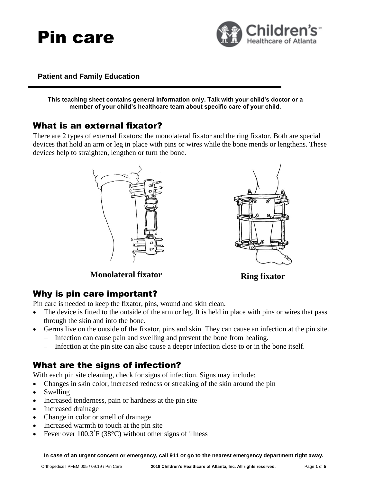



#### **Patient and Family Education**

**This teaching sheet contains general information only. Talk with your child's doctor or a member of your child's healthcare team about specific care of your child.**

#### What is an external fixator?

There are 2 types of external fixators: the monolateral fixator and the ring fixator. Both are special devices that hold an arm or leg in place with pins or wires while the bone mends or lengthens. These devices help to straighten, lengthen or turn the bone.





**Monolateral fixator Ring fixator** 

#### Why is pin care important?

Pin care is needed to keep the fixator, pins, wound and skin clean.

- The device is fitted to the outside of the arm or leg. It is held in place with pins or wires that pass through the skin and into the bone.
	- Germs live on the outside of the fixator, pins and skin. They can cause an infection at the pin site.
		- − Infection can cause pain and swelling and prevent the bone from healing.
		- Infection at the pin site can also cause a deeper infection close to or in the bone itself.

### What are the signs of infection?

With each pin site cleaning, check for signs of infection. Signs may include:

- Changes in skin color, increased redness or streaking of the skin around the pin
- **Swelling**
- Increased tenderness, pain or hardness at the pin site
- Increased drainage
- Change in color or smell of drainage
- Increased warmth to touch at the pin site
- Fever over  $100.3^{\circ}F(38^{\circ}C)$  without other signs of illness

**In case of an urgent concern or emergency, call 911 or go to the nearest emergency department right away.**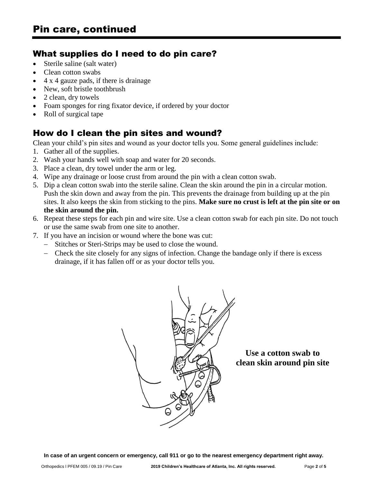### What supplies do I need to do pin care?

- Sterile saline (salt water)
- Clean cotton swabs
- 4 x 4 gauze pads, if there is drainage
- New, soft bristle toothbrush
- 2 clean, dry towels
- Foam sponges for ring fixator device, if ordered by your doctor
- Roll of surgical tape

## How do I clean the pin sites and wound?

Clean your child's pin sites and wound as your doctor tells you. Some general guidelines include:

- 1. Gather all of the supplies.
- 2. Wash your hands well with soap and water for 20 seconds.
- 3. Place a clean, dry towel under the arm or leg.
- 4. Wipe any drainage or loose crust from around the pin with a clean cotton swab.
- 5. Dip a clean cotton swab into the sterile saline. Clean the skin around the pin in a circular motion. Push the skin down and away from the pin. This prevents the drainage from building up at the pin sites. It also keeps the skin from sticking to the pins. **Make sure no crust is left at the pin site or on the skin around the pin.**
- 6. Repeat these steps for each pin and wire site. Use a clean cotton swab for each pin site. Do not touch or use the same swab from one site to another.
- 7. If you have an incision or wound where the bone was cut:
	- − Stitches or Steri-Strips may be used to close the wound.
	- − Check the site closely for any signs of infection. Change the bandage only if there is excess drainage, if it has fallen off or as your doctor tells you.



**Use a cotton swab to clean skin around pin site**

**In case of an urgent concern or emergency, call 911 or go to the nearest emergency department right away.**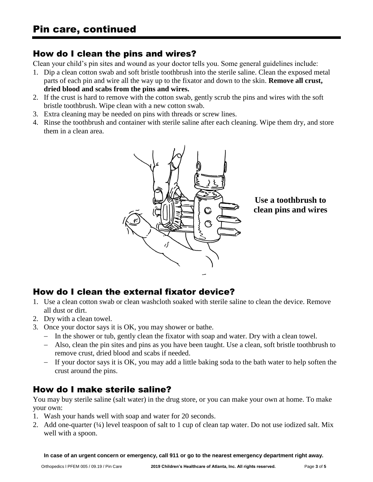### How do I clean the pins and wires?

Clean your child's pin sites and wound as your doctor tells you. Some general guidelines include:

- 1. Dip a clean cotton swab and soft bristle toothbrush into the sterile saline. Clean the exposed metal parts of each pin and wire all the way up to the fixator and down to the skin. **Remove all crust, dried blood and scabs from the pins and wires.**
- 2. If the crust is hard to remove with the cotton swab, gently scrub the pins and wires with the soft bristle toothbrush. Wipe clean with a new cotton swab.
- 3. Extra cleaning may be needed on pins with threads or screw lines.
- 4. Rinse the toothbrush and container with sterile saline after each cleaning. Wipe them dry, and store them in a clean area.



**Use a toothbrush to clean pins and wires**

## How do I clean the external fixator device?

- 1. Use a clean cotton swab or clean washcloth soaked with sterile saline to clean the device. Remove all dust or dirt.
- 2. Dry with a clean towel.
- 3. Once your doctor says it is OK, you may shower or bathe.
	- − In the shower or tub, gently clean the fixator with soap and water. Dry with a clean towel.
	- − Also, clean the pin sites and pins as you have been taught. Use a clean, soft bristle toothbrush to remove crust, dried blood and scabs if needed.
	- − If your doctor says it is OK, you may add a little baking soda to the bath water to help soften the crust around the pins.

## How do I make sterile saline?

You may buy sterile saline (salt water) in the drug store, or you can make your own at home. To make your own:

- 1. Wash your hands well with soap and water for 20 seconds.
- 2. Add one-quarter (¼) level teaspoon of salt to 1 cup of clean tap water. Do not use iodized salt. Mix well with a spoon.

**In case of an urgent concern or emergency, call 911 or go to the nearest emergency department right away.**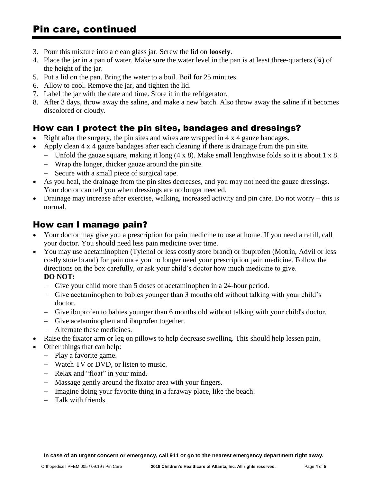- 3. Pour this mixture into a clean glass jar. Screw the lid on **loosely**.
- 4. Place the jar in a pan of water. Make sure the water level in the pan is at least three-quarters  $(34)$  of the height of the jar.
- 5. Put a lid on the pan. Bring the water to a boil. Boil for 25 minutes.
- 6. Allow to cool. Remove the jar, and tighten the lid.
- 7. Label the jar with the date and time. Store it in the refrigerator.
- 8. After 3 days, throw away the saline, and make a new batch. Also throw away the saline if it becomes discolored or cloudy.

# How can I protect the pin sites, bandages and dressings?

- Right after the surgery, the pin sites and wires are wrapped in 4 x 4 gauze bandages.
- Apply clean 4 x 4 gauze bandages after each cleaning if there is drainage from the pin site.
	- − Unfold the gauze square, making it long (4 x 8). Make small lengthwise folds so it is about 1 x 8.
	- − Wrap the longer, thicker gauze around the pin site.
	- − Secure with a small piece of surgical tape.
- As you heal, the drainage from the pin sites decreases, and you may not need the gauze dressings. Your doctor can tell you when dressings are no longer needed.
- Drainage may increase after exercise, walking, increased activity and pin care. Do not worry this is normal.

## How can I manage pain?

- Your doctor may give you a prescription for pain medicine to use at home. If you need a refill, call your doctor. You should need less pain medicine over time.
- You may use acetaminophen (Tylenol or less costly store brand) or ibuprofen (Motrin, Advil or less costly store brand) for pain once you no longer need your prescription pain medicine. Follow the directions on the box carefully, or ask your child's doctor how much medicine to give. **DO NOT:**

#### − Give your child more than 5 doses of acetaminophen in a 24-hour period.

- − Give acetaminophen to babies younger than 3 months old without talking with your child's doctor.
- − Give ibuprofen to babies younger than 6 months old without talking with your child's doctor.
- − Give acetaminophen and ibuprofen together.
- − Alternate these medicines.
- Raise the fixator arm or leg on pillows to help decrease swelling. This should help lessen pain.
- Other things that can help:
	- − Play a favorite game.
	- − Watch TV or DVD, or listen to music.
	- − Relax and "float" in your mind.
	- − Massage gently around the fixator area with your fingers.
	- − Imagine doing your favorite thing in a faraway place, like the beach.
	- − Talk with friends.